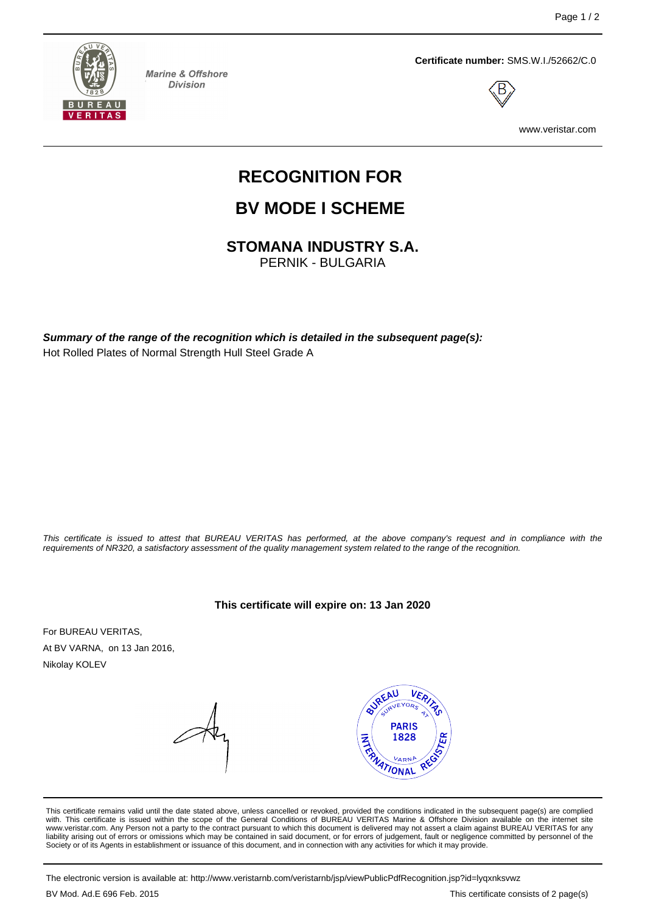

**Marine & Offshore Division** 



**Certificate number:** SMS.W.I./52662/C.0



www.veristar.com

# **RECOGNITION FOR**

## **BV MODE I SCHEME**

**STOMANA INDUSTRY S.A.**

PERNIK - BULGARIA

**Summary of the range of the recognition which is detailed in the subsequent page(s):** Hot Rolled Plates of Normal Strength Hull Steel Grade A

This certificate is issued to attest that BUREAU VERITAS has performed, at the above company's request and in compliance with the requirements of NR320, a satisfactory assessment of the quality management system related to the range of the recognition.

**This certificate will expire on: 13 Jan 2020**

For BUREAU VERITAS, At BV VARNA, on 13 Jan 2016, Nikolay KOLEV



This certificate remains valid until the date stated above, unless cancelled or revoked, provided the conditions indicated in the subsequent page(s) are complied with. This certificate is issued within the scope of the General Conditions of BUREAU VERITAS Marine & Offshore Division available on the internet site www.veristar.com. Any Person not a party to the contract pursuant to which this document is delivered may not assert a claim against BUREAU VERITAS for any liability arising out of errors or omissions which may be contained in said document, or for errors of judgement, fault or negligence committed by personnel of the Society or of its Agents in establishment or issuance of this document, and in connection with any activities for which it may provide.

The electronic version is available at: http://www.veristarnb.com/veristarnb/jsp/viewPublicPdfRecognition.jsp?id=lyqxnksvwz